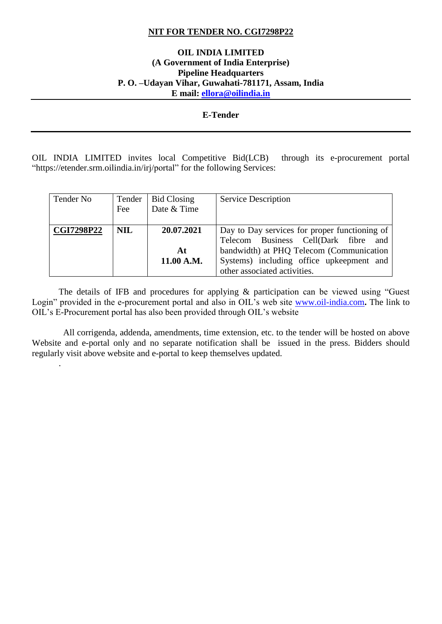#### **NIT FOR TENDER NO. CGI7298P22**

#### **OIL INDIA LIMITED (A Government of India Enterprise) Pipeline Headquarters P. O. –Udayan Vihar, Guwahati-781171, Assam, India E mail: [ellora@oilindia.in](mailto:ellora@oilindia.in)**

#### **E-Tender**

OIL INDIA LIMITED invites local Competitive Bid(LCB) through its e-procurement portal "https://etender.srm.oilindia.in/irj/portal" for the following Services:

| Tender No         | Tender     | <b>Bid Closing</b> | Service Description                           |
|-------------------|------------|--------------------|-----------------------------------------------|
|                   | Fee        | Date & Time        |                                               |
|                   |            |                    |                                               |
| <b>CGI7298P22</b> | <b>NIL</b> | 20.07.2021         | Day to Day services for proper functioning of |
|                   |            |                    | Telecom Business Cell(Dark fibre<br>and       |
|                   |            | At                 | bandwidth) at PHQ Telecom (Communication      |
|                   |            | 11.00 A.M.         | Systems) including office upkeepment and      |
|                   |            |                    | other associated activities.                  |

The details of IFB and procedures for applying & participation can be viewed using "Guest Login" provided in the e-procurement portal and also in OIL's web site [www.oil-india.com](http://www.oil-india.com/)**.** The link to OIL's E-Procurement portal has also been provided through OIL's website

 All corrigenda, addenda, amendments, time extension, etc. to the tender will be hosted on above Website and e-portal only and no separate notification shall be issued in the press. Bidders should regularly visit above website and e-portal to keep themselves updated.

.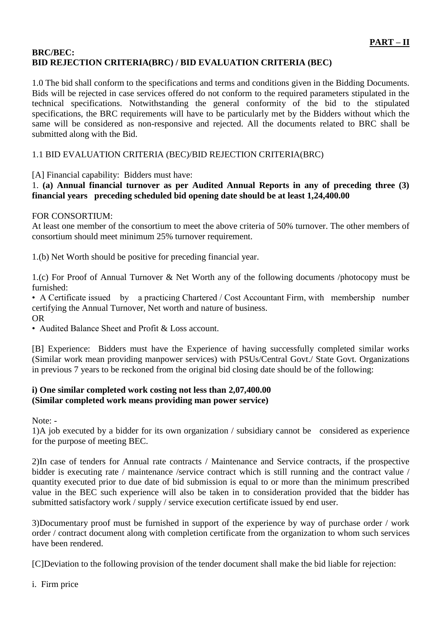# **BRC/BEC: BID REJECTION CRITERIA(BRC) / BID EVALUATION CRITERIA (BEC)**

1.0 The bid shall conform to the specifications and terms and conditions given in the Bidding Documents. Bids will be rejected in case services offered do not conform to the required parameters stipulated in the technical specifications. Notwithstanding the general conformity of the bid to the stipulated specifications, the BRC requirements will have to be particularly met by the Bidders without which the same will be considered as non-responsive and rejected. All the documents related to BRC shall be submitted along with the Bid.

# 1.1 BID EVALUATION CRITERIA (BEC)/BID REJECTION CRITERIA(BRC)

[A] Financial capability: Bidders must have:

## 1. **(a) Annual financial turnover as per Audited Annual Reports in any of preceding three (3) financial years preceding scheduled bid opening date should be at least 1,24,400.00**

### FOR CONSORTIUM:

At least one member of the consortium to meet the above criteria of 50% turnover. The other members of consortium should meet minimum 25% turnover requirement.

1.(b) Net Worth should be positive for preceding financial year.

1.(c) For Proof of Annual Turnover & Net Worth any of the following documents /photocopy must be furnished:

• A Certificate issued by a practicing Chartered / Cost Accountant Firm, with membership number certifying the Annual Turnover, Net worth and nature of business. OR

• Audited Balance Sheet and Profit & Loss account.

[B] Experience: Bidders must have the Experience of having successfully completed similar works (Similar work mean providing manpower services) with PSUs/Central Govt./ State Govt. Organizations in previous 7 years to be reckoned from the original bid closing date should be of the following:

## **i) One similar completed work costing not less than 2,07,400.00 (Similar completed work means providing man power service)**

Note: -

1)A job executed by a bidder for its own organization / subsidiary cannot be considered as experience for the purpose of meeting BEC.

2)In case of tenders for Annual rate contracts / Maintenance and Service contracts, if the prospective bidder is executing rate / maintenance /service contract which is still running and the contract value / quantity executed prior to due date of bid submission is equal to or more than the minimum prescribed value in the BEC such experience will also be taken in to consideration provided that the bidder has submitted satisfactory work / supply / service execution certificate issued by end user.

3)Documentary proof must be furnished in support of the experience by way of purchase order / work order / contract document along with completion certificate from the organization to whom such services have been rendered.

[C]Deviation to the following provision of the tender document shall make the bid liable for rejection:

i. Firm price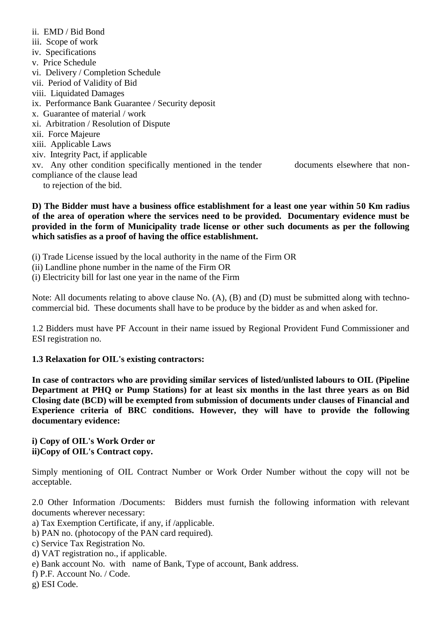## ii. EMD / Bid Bond

- iii. Scope of work
- iv. Specifications
- v. Price Schedule
- vi. Delivery / Completion Schedule
- vii. Period of Validity of Bid
- viii. Liquidated Damages
- ix. Performance Bank Guarantee / Security deposit
- x. Guarantee of material / work
- xi. Arbitration / Resolution of Dispute
- xii. Force Majeure
- xiii. Applicable Laws
- xiv. Integrity Pact, if applicable

xv. Any other condition specifically mentioned in the tender documents elsewhere that noncompliance of the clause lead

to rejection of the bid.

**D) The Bidder must have a business office establishment for a least one year within 50 Km radius of the area of operation where the services need to be provided. Documentary evidence must be provided in the form of Municipality trade license or other such documents as per the following which satisfies as a proof of having the office establishment.**

- (i) Trade License issued by the local authority in the name of the Firm OR
- (ii) Landline phone number in the name of the Firm OR
- (i) Electricity bill for last one year in the name of the Firm

Note: All documents relating to above clause No. (A), (B) and (D) must be submitted along with technocommercial bid. These documents shall have to be produce by the bidder as and when asked for.

1.2 Bidders must have PF Account in their name issued by Regional Provident Fund Commissioner and ESI registration no.

## **1.3 Relaxation for OIL's existing contractors:**

**In case of contractors who are providing similar services of listed/unlisted labours to OIL (Pipeline Department at PHQ or Pump Stations) for at least six months in the last three years as on Bid Closing date (BCD) will be exempted from submission of documents under clauses of Financial and Experience criteria of BRC conditions. However, they will have to provide the following documentary evidence:**

## **i) Copy of OIL's Work Order or ii)Copy of OIL's Contract copy.**

Simply mentioning of OIL Contract Number or Work Order Number without the copy will not be acceptable.

2.0 Other Information /Documents: Bidders must furnish the following information with relevant documents wherever necessary:

- a) Tax Exemption Certificate, if any, if /applicable.
- b) PAN no. (photocopy of the PAN card required).
- c) Service Tax Registration No.
- d) VAT registration no., if applicable.
- e) Bank account No. with name of Bank, Type of account, Bank address.
- f) P.F. Account No. / Code.
- g) ESI Code.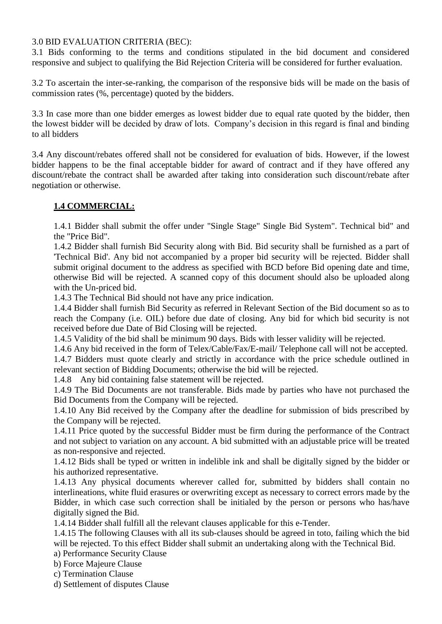#### 3.0 BID EVALUATION CRITERIA (BEC):

3.1 Bids conforming to the terms and conditions stipulated in the bid document and considered responsive and subject to qualifying the Bid Rejection Criteria will be considered for further evaluation.

3.2 To ascertain the inter-se-ranking, the comparison of the responsive bids will be made on the basis of commission rates (%, percentage) quoted by the bidders.

3.3 In case more than one bidder emerges as lowest bidder due to equal rate quoted by the bidder, then the lowest bidder will be decided by draw of lots. Company's decision in this regard is final and binding to all bidders

3.4 Any discount/rebates offered shall not be considered for evaluation of bids. However, if the lowest bidder happens to be the final acceptable bidder for award of contract and if they have offered any discount/rebate the contract shall be awarded after taking into consideration such discount/rebate after negotiation or otherwise.

# **1.4 COMMERCIAL:**

1.4.1 Bidder shall submit the offer under "Single Stage" Single Bid System". Technical bid" and the "Price Bid".

1.4.2 Bidder shall furnish Bid Security along with Bid. Bid security shall be furnished as a part of 'Technical Bid'. Any bid not accompanied by a proper bid security will be rejected. Bidder shall submit original document to the address as specified with BCD before Bid opening date and time, otherwise Bid will be rejected. A scanned copy of this document should also be uploaded along with the Un-priced bid.

1.4.3 The Technical Bid should not have any price indication.

1.4.4 Bidder shall furnish Bid Security as referred in Relevant Section of the Bid document so as to reach the Company (i.e. OIL) before due date of closing. Any bid for which bid security is not received before due Date of Bid Closing will be rejected.

1.4.5 Validity of the bid shall be minimum 90 days. Bids with lesser validity will be rejected.

1.4.6 Any bid received in the form of Telex/Cable/Fax/E-mail/ Telephone call will not be accepted. 1.4.7 Bidders must quote clearly and strictly in accordance with the price schedule outlined in relevant section of Bidding Documents; otherwise the bid will be rejected.

1.4.8 Any bid containing false statement will be rejected.

1.4.9 The Bid Documents are not transferable. Bids made by parties who have not purchased the Bid Documents from the Company will be rejected.

1.4.10 Any Bid received by the Company after the deadline for submission of bids prescribed by the Company will be rejected.

1.4.11 Price quoted by the successful Bidder must be firm during the performance of the Contract and not subject to variation on any account. A bid submitted with an adjustable price will be treated as non-responsive and rejected.

1.4.12 Bids shall be typed or written in indelible ink and shall be digitally signed by the bidder or his authorized representative.

1.4.13 Any physical documents wherever called for, submitted by bidders shall contain no interlineations, white fluid erasures or overwriting except as necessary to correct errors made by the Bidder, in which case such correction shall be initialed by the person or persons who has/have digitally signed the Bid.

1.4.14 Bidder shall fulfill all the relevant clauses applicable for this e-Tender.

1.4.15 The following Clauses with all its sub-clauses should be agreed in toto, failing which the bid will be rejected. To this effect Bidder shall submit an undertaking along with the Technical Bid.

a) Performance Security Clause

b) Force Majeure Clause

c) Termination Clause

d) Settlement of disputes Clause